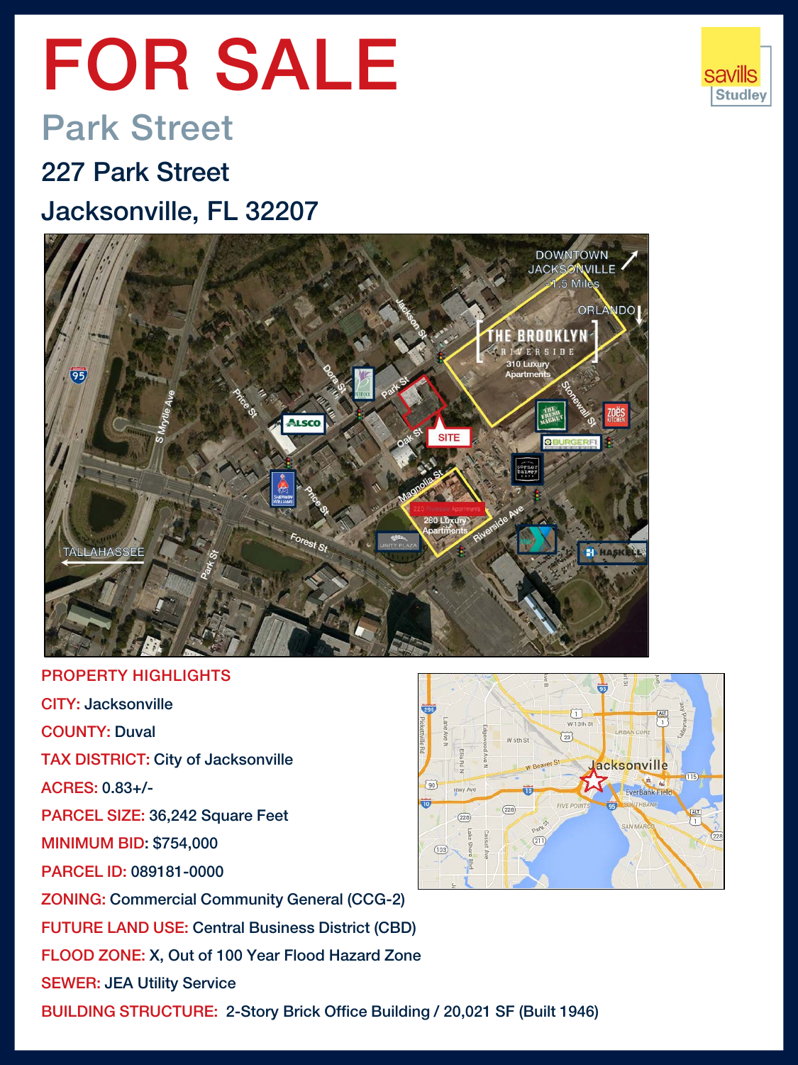# FOR SALE

# Park Street

### 227 Park Street Jacksonville, FL 32207



PROPERTY HIGHLIGHTS CITY: Jacksonville COUNTY: Duval TAX DISTRICT: City of Jacksonville ACRES: 0.83+/-  $^{90}$ Hwy Ave PARCEL SIZE: 36,242 Square Feet  $(228)$ MINIMUM BID: \$754,000  $(103)$ PARCEL ID: 089181-0000 ZONING: Commercial Community General (CCG-2) FUTURE LAND USE: Central Business District (CBD) FLOOD ZONE: X, Out of 100 Year Flood Hazard Zone SEWER: JEA Utility Service BUILDING STRUCTURE: 2-Story Brick Office Building / 20,021 SF (Built 1946)



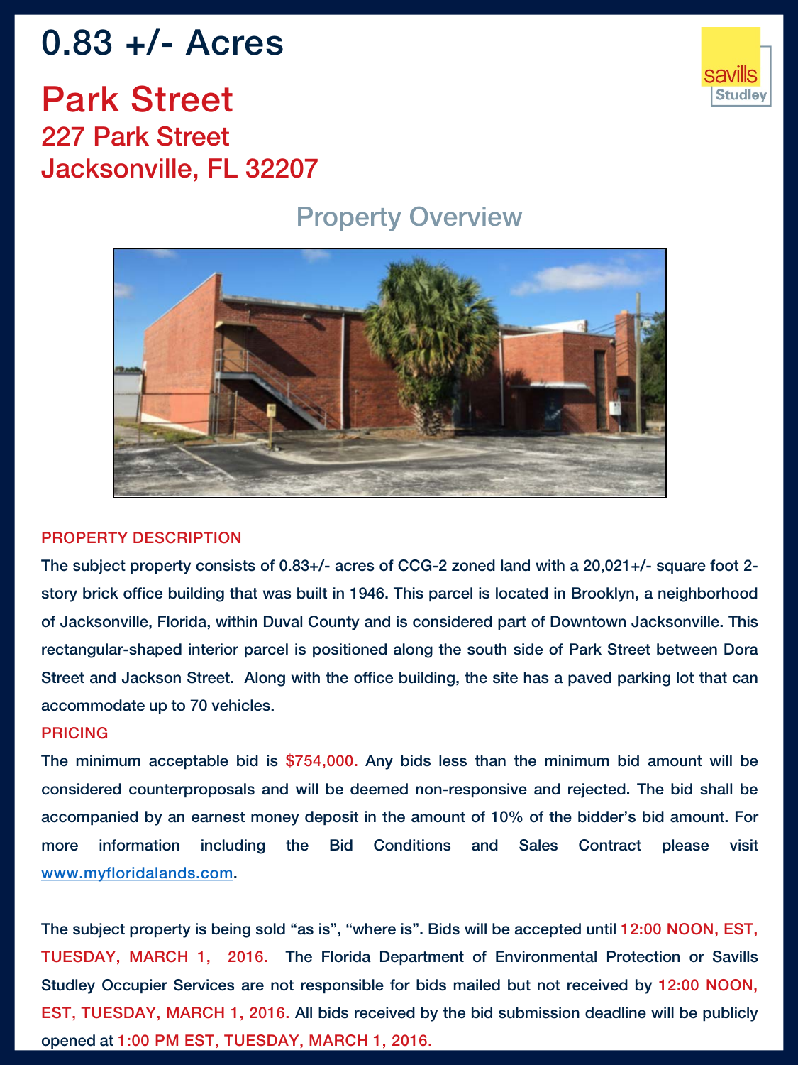# 0.83 +/- Acres

Park Street 227 Park Street Jacksonville, FL 32207

#### Property Overview



#### PROPERTY DESCRIPTION

The subject property consists of 0.83+/- acres of CCG-2 zoned land with a 20,021+/- square foot 2 story brick office building that was built in 1946. This parcel is located in Brooklyn, a neighborhood of Jacksonville, Florida, within Duval County and is considered part of Downtown Jacksonville. This rectangular-shaped interior parcel is positioned along the south side of Park Street between Dora Street and Jackson Street. Along with the office building, the site has a paved parking lot that can accommodate up to 70 vehicles.

#### PRICING

The minimum acceptable bid is \$754,000. Any bids less than the minimum bid amount will be considered counterproposals and will be deemed non-responsive and rejected. The bid shall be accompanied by an earnest money deposit in the amount of 10% of the bidder's bid amount. For more information including the Bid Conditions and Sales Contract please visit [www.myfloridalands.com.](http://www.myfloridalands.com/)

The subject property is being sold "as is", "where is". Bids will be accepted until 12:00 NOON, EST, TUESDAY, MARCH 1, 2016. The Florida Department of Environmental Protection or Savills Studley Occupier Services are not responsible for bids mailed but not received by 12:00 NOON, EST, TUESDAY, MARCH 1, 2016. All bids received by the bid submission deadline will be publicly opened at 1:00 PM EST, TUESDAY, MARCH 1, 2016.

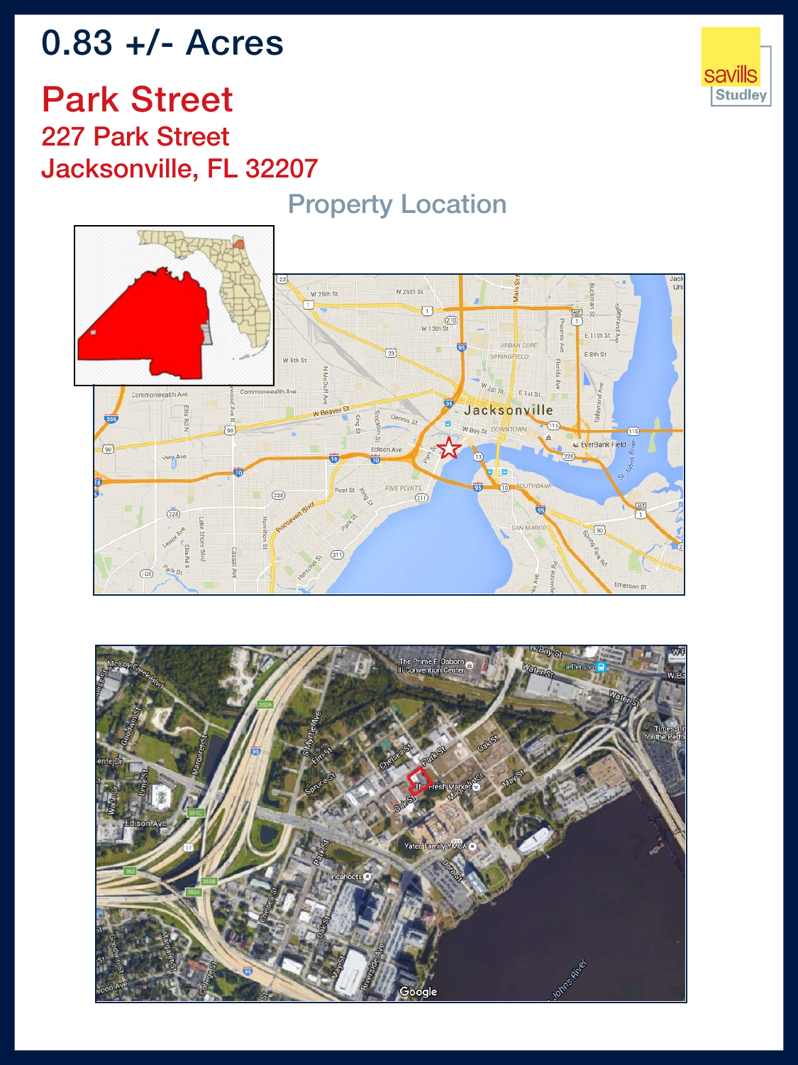# 0.83 +/- Acres



### Park Street 227 Park Street Jacksonville, FL 32207